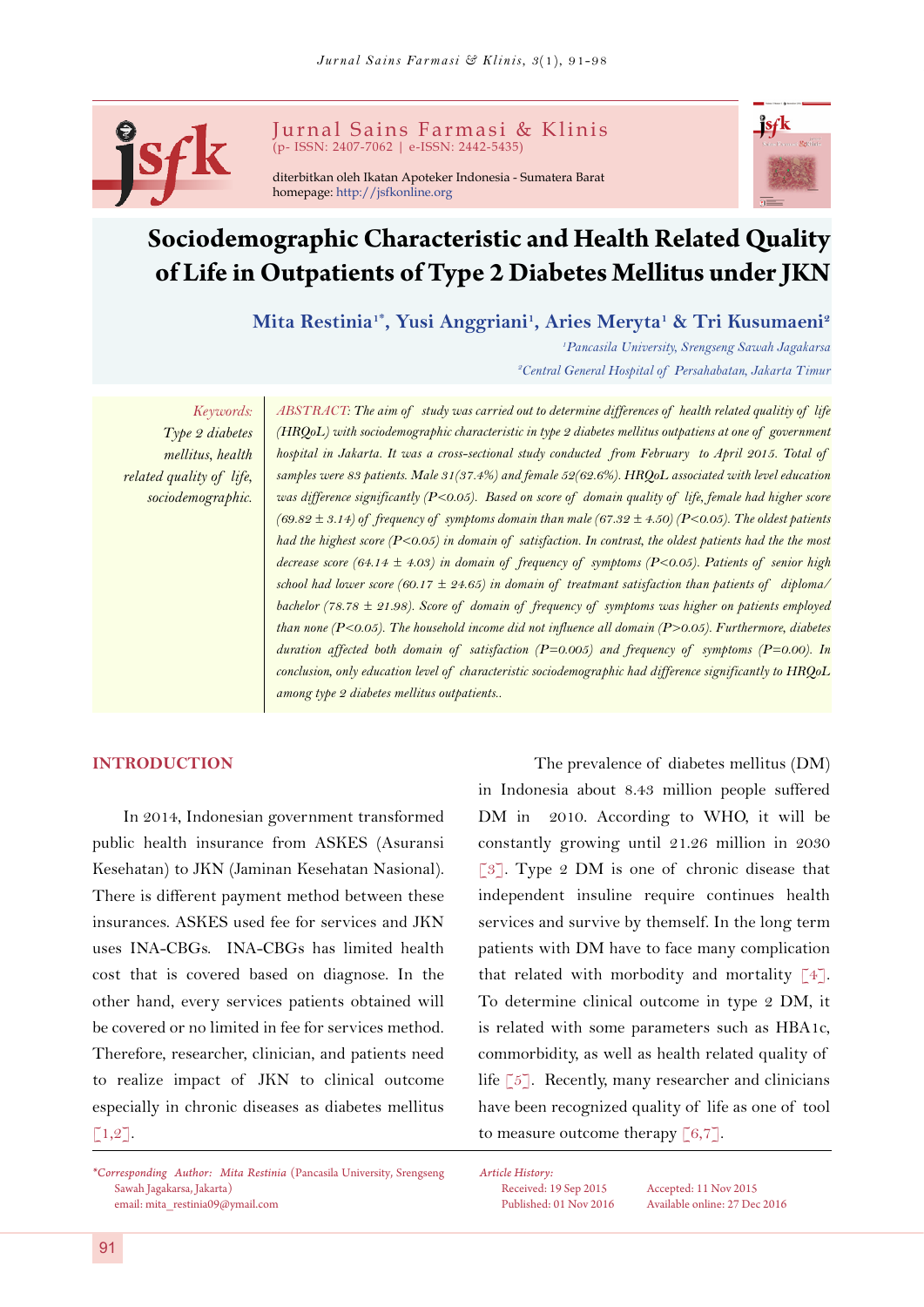

Jurnal Sains Farmasi & Klinis (p- ISSN: 2407-7062 | e-ISSN: 2442-5435)

diterbitkan oleh Ikatan Apoteker Indonesia - Sumatera Barat homepage: <http://jsfkonline.org>



# **Sociodemographic Characteristic and Health Related Quality of Life in Outpatients of Type 2 Diabetes Mellitus under JKN**

 $M$ ita Restinia<sup>1\*</sup>, Yusi Anggriani<sup>1</sup>, Aries Meryta<sup>1</sup> & Tri Kusumaeni<sup>2</sup>

*1 Pancasila University, Srengseng Sawah Jagakarsa 2 Central General Hospital of Persahabatan, Jakarta Timur*

*Keywords: Type 2 diabetes mellitus, health related quality of life, sociodemographic.*

*ABSTRACT: The aim of study was carried out to determine differences of health related qualitiy of life (HRQoL) with sociodemographic characteristic in type 2 diabetes mellitus outpatiens at one of government hospital in Jakarta. It was a cross-sectional study conducted from February to April 2015. Total of samples were 83 patients. Male 31(37.4%) and female 52(62.6%). HRQoL associated with level education was difference significantly (P<0.05). Based on score of domain quality of life, female had higher score*  (69.82  $\pm$  3.14) of frequency of symptoms domain than male (67.32  $\pm$  4.50) (P<0.05). The oldest patients *had the highest score (P<0.05) in domain of satisfaction. In contrast, the oldest patients had the the most decrease score (64.14 ± 4.03) in domain of frequency of symptoms (P<0.05). Patients of senior high school had lower score (60.17 ± 24.65) in domain of treatmant satisfaction than patients of diploma/ bachelor (78.78 ± 21.98). Score of domain of frequency of symptoms was higher on patients employed than none (P<0.05). The household income did not influence all domain (P>0.05). Furthermore, diabetes duration affected both domain of satisfaction (P=0.005) and frequency of symptoms (P=0.00). In conclusion, only education level of characteristic sociodemographic had difference significantly to HRQoL among type 2 diabetes mellitus outpatients..*

# **INTRODUCTION**

In 2014, Indonesian government transformed public health insurance from ASKES (Asuransi Kesehatan) to JKN (Jaminan Kesehatan Nasional). There is different payment method between these insurances. ASKES used fee for services and JKN uses INA-CBGs. INA-CBGs has limited health cost that is covered based on diagnose. In the other hand, every services patients obtained will be covered or no limited in fee for services method. Therefore, researcher, clinician, and patients need to realize impact of JKN to clinical outcome especially in chronic diseases as diabetes mellitus  $\lceil 1,2 \rceil$ .

The prevalence of diabetes mellitus (DM) in Indonesia about 8.43 million people suffered DM in 2010. According to WHO, it will be constantly growing until 21.26 million in 2030 [[3](#page-6-2)]. Type 2 DM is one of chronic disease that independent insuline require continues health services and survive by themself. In the long term patients with DM have to face many complication that related with morbodity and mortality  $[4]$ . To determine clinical outcome in type 2 DM, it is related with some parameters such as HBA1c, commorbidity, as well as health related quality of life  $\lceil 5 \rceil$ . Recently, many researcher and clinicians have been recognized quality of life as one of tool to measure outcome therapy  $\lceil 6, 7 \rceil$  $\lceil 6, 7 \rceil$  $\lceil 6, 7 \rceil$ .

*Article History:*

Received: 19 Sep 2015 Accepted: 11 Nov 2015 Published: 01 Nov 2016 Available online: 27 Dec 2016

<span id="page-0-0"></span>*<sup>\*</sup>Corresponding Author: Mita Restinia* (Pancasila University, Srengseng Sawah Jagakarsa, Jakarta) email: [mita\\_restinia09@ymail.com](mailto:mita_restinia09%40ymail.com?subject=)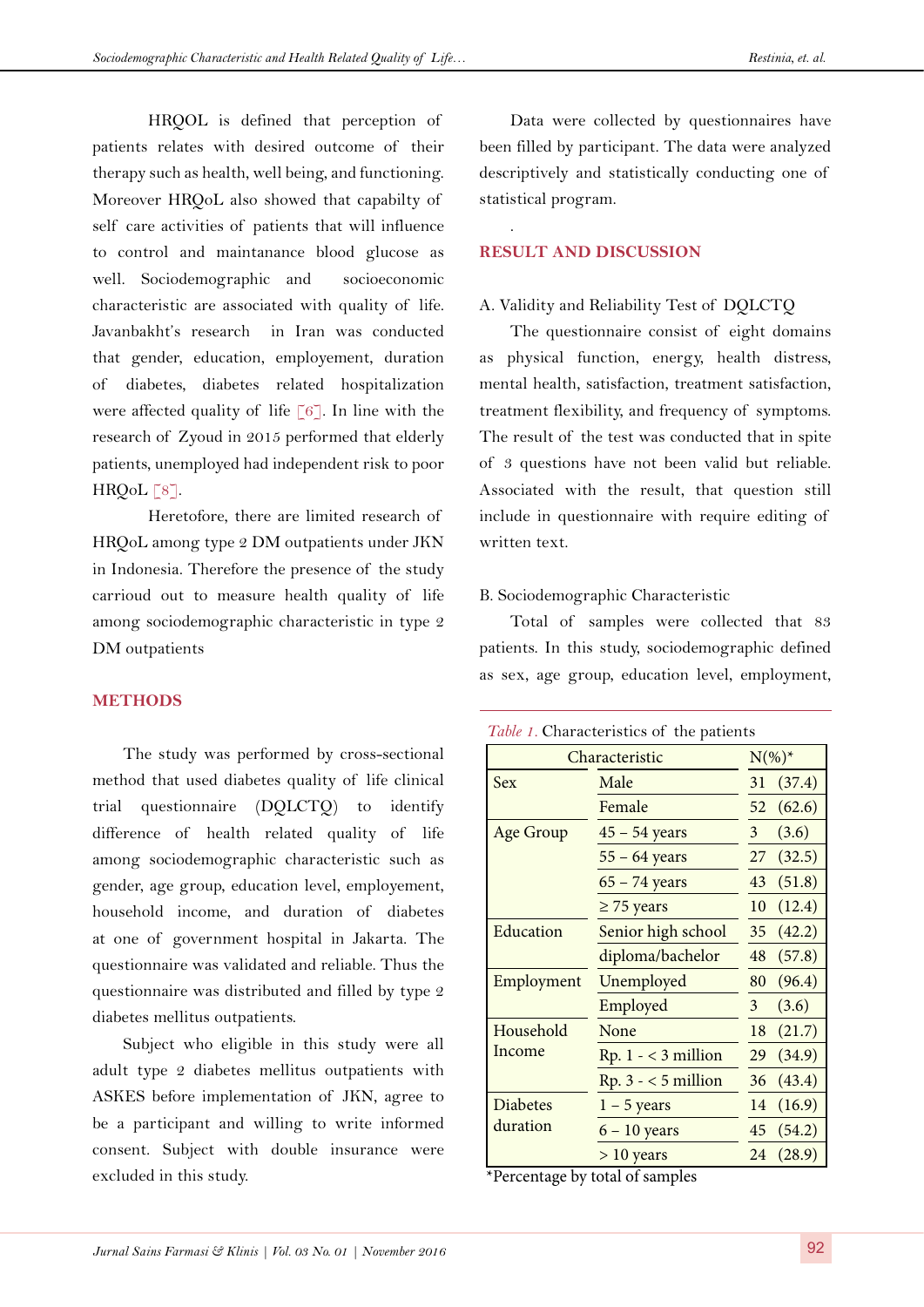HRQOL is defined that perception of patients relates with desired outcome of their therapy such as health, well being, and functioning. Moreover HRQoL also showed that capabilty of self care activities of patients that will influence to control and maintanance blood glucose as well. Sociodemographic and socioeconomic characteristic are associated with quality of life. Javanbakht's research in Iran was conducted that gender, education, employement, duration of diabetes, diabetes related hospitalization were affected quality of life [[6](#page-6-5)]. In line with the research of Zyoud in 2015 performed that elderly patients, unemployed had independent risk to poor  $HRQoL [8]$  $HRQoL [8]$  $HRQoL [8]$ .

Heretofore, there are limited research of HRQoL among type 2 DM outpatients under JKN in Indonesia. Therefore the presence of the study carrioud out to measure health quality of life among sociodemographic characteristic in type 2 DM outpatients

#### **METHODS**

The study was performed by cross-sectional method that used diabetes quality of life clinical trial questionnaire (DQLCTQ) to identify difference of health related quality of life among sociodemographic characteristic such as gender, age group, education level, employement, household income, and duration of diabetes at one of government hospital in Jakarta. The questionnaire was validated and reliable. Thus the questionnaire was distributed and filled by type 2 diabetes mellitus outpatients.

Subject who eligible in this study were all adult type 2 diabetes mellitus outpatients with ASKES before implementation of JKN, agree to be a participant and willing to write informed consent. Subject with double insurance were excluded in this study.

Data were collected by questionnaires have been filled by participant. The data were analyzed descriptively and statistically conducting one of statistical program.

## **RESULT AND DISCUSSION**

.

## A. Validity and Reliability Test of DQLCTQ

The questionnaire consist of eight domains as physical function, energy, health distress, mental health, satisfaction, treatment satisfaction, treatment flexibility, and frequency of symptoms. The result of the test was conducted that in spite of 3 questions have not been valid but reliable. Associated with the result, that question still include in questionnaire with require editing of written text.

#### B. Sociodemographic Characteristic

Total of samples were collected that 83 patients. In this study, sociodemographic defined as sex, age group, education level, employment,

|  | Table 1. Characteristics of the patients |  |  |
|--|------------------------------------------|--|--|
|--|------------------------------------------|--|--|

| Characteristic   |                       | $N(\%)^*$      |        |
|------------------|-----------------------|----------------|--------|
| <b>Sex</b>       | Male                  | 31             | (37.4) |
|                  | Female                | 52             | (62.6) |
| <b>Age Group</b> | $45 - 54$ years       | 3              | (3.6)  |
|                  | $55 - 64$ years       | 27             | (32.5) |
|                  | $65 - 74$ years       | 43             | (51.8) |
|                  | $\geq$ 75 years       | 10             | (12.4) |
| Education        | Senior high school    | 35             | (42.2) |
|                  | diploma/bachelor      | 48             | (57.8) |
| Employment       | Unemployed            | 80             | (96.4) |
|                  | Employed              | 3 <sup>1</sup> | (3.6)  |
| Household        | None                  | 18             | (21.7) |
| Income           | $Rp. 1 - < 3$ million | 29             | (34.9) |
|                  | $Rp. 3 - < 5$ million | 36             | (43.4) |
| <b>Diabetes</b>  | $1 - 5$ years         | 14             | (16.9) |
| duration         | $6 - 10$ years        | 45             | (54.2) |
|                  | $> 10$ years          | 24             | (28.9) |

\*Percentage by total of samples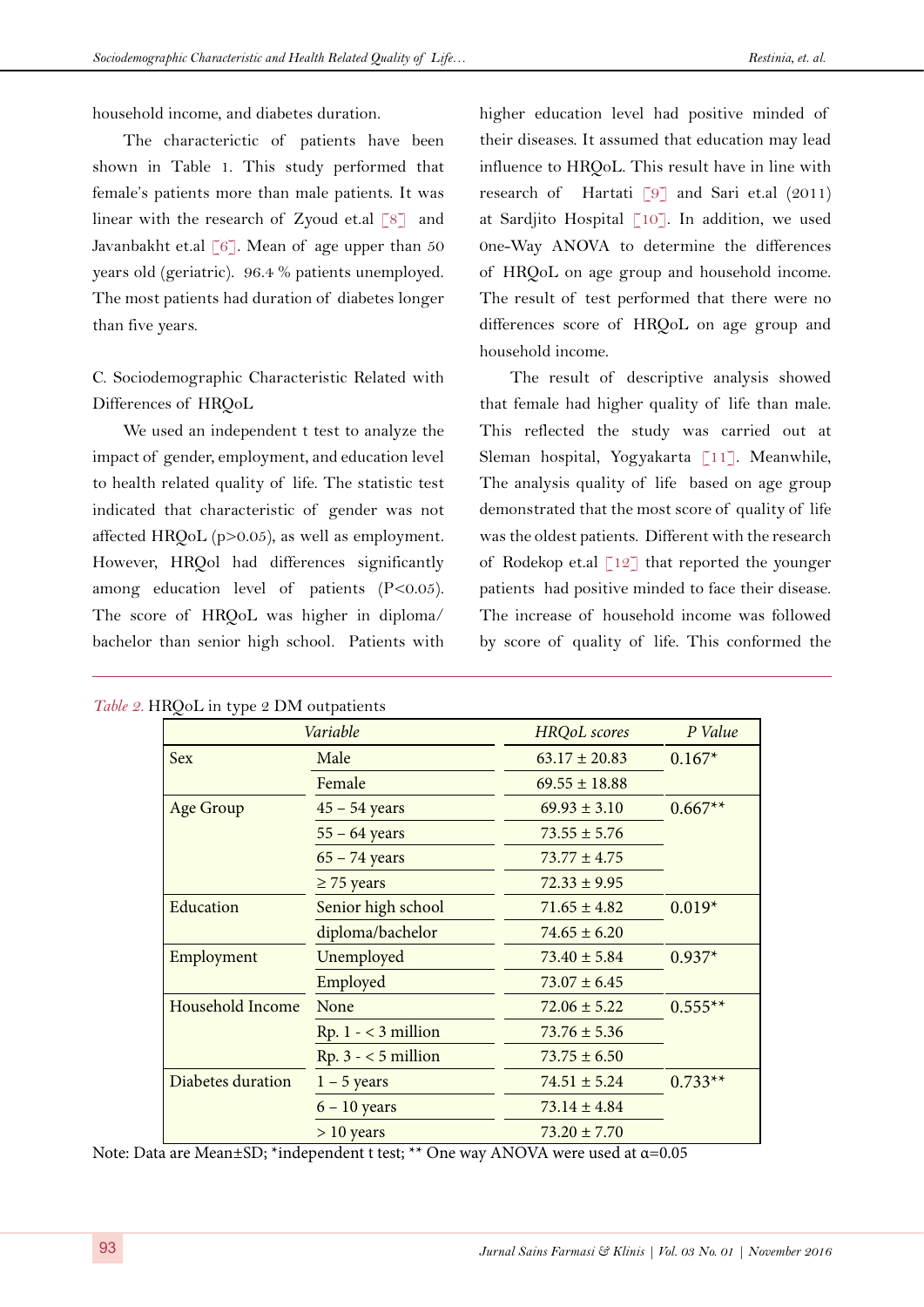household income, and diabetes duration.

The characterictic of patients have been shown in Table 1. This study performed that female's patients more than male patients. It was linear with the research of Zyoud et.al [[8](#page-6-7)] and Javanbakht et.al [[6](#page-6-5)]. Mean of age upper than  $50$ years old (geriatric). 96.4 % patients unemployed. The most patients had duration of diabetes longer than five years.

C. Sociodemographic Characteristic Related with Differences of HRQoL

We used an independent t test to analyze the impact of gender, employment, and education level to health related quality of life. The statistic test indicated that characteristic of gender was not affected HRQoL (p>0.05), as well as employment. However, HRQol had differences significantly among education level of patients (P<0.05). The score of HRQoL was higher in diploma/ bachelor than senior high school. Patients with

higher education level had positive minded of their diseases. It assumed that education may lead influence to HRQoL. This result have in line with research of Hartati [\[9](#page-7-0)] and Sari et.al (2011) at Sardjito Hospital [\[10](#page-7-1)]. In addition, we used 0ne-Way ANOVA to determine the differences of HRQoL on age group and household income. The result of test performed that there were no differences score of HRQoL on age group and household income.

The result of descriptive analysis showed that female had higher quality of life than male. This reflected the study was carried out at Sleman hospital, Yogyakarta [[11\]](#page-7-2). Meanwhile, The analysis quality of life based on age group demonstrated that the most score of quality of life was the oldest patients. Different with the research of Rodekop et.al  $\lceil 12 \rceil$  that reported the younger patients had positive minded to face their disease. The increase of household income was followed by score of quality of life. This conformed the

|                   | Variable              | <b>HRQoL</b> scores | P Value   |  |
|-------------------|-----------------------|---------------------|-----------|--|
| <b>Sex</b>        | Male                  | $63.17 \pm 20.83$   | $0.167*$  |  |
|                   | Female                | $69.55 \pm 18.88$   |           |  |
| <b>Age Group</b>  | $45 - 54$ years       | $69.93 \pm 3.10$    | $0.667**$ |  |
|                   | $55 - 64$ years       | $73.55 \pm 5.76$    |           |  |
|                   | $65 - 74$ years       | $73.77 \pm 4.75$    |           |  |
|                   | $\geq$ 75 years       | $72.33 \pm 9.95$    |           |  |
| Education         | Senior high school    | $71.65 \pm 4.82$    | $0.019*$  |  |
|                   | diploma/bachelor      | $74.65 \pm 6.20$    |           |  |
| Employment        | Unemployed            | $73.40 \pm 5.84$    | $0.937*$  |  |
|                   | Employed              | $73.07 \pm 6.45$    |           |  |
| Household Income  | None                  | $72.06 \pm 5.22$    | $0.555**$ |  |
|                   | $Rp. 1 - < 3$ million | $73.76 \pm 5.36$    |           |  |
|                   | $Rp. 3 - < 5$ million | $73.75 \pm 6.50$    |           |  |
| Diabetes duration | $1 - 5$ years         | $74.51 \pm 5.24$    | $0.733**$ |  |
|                   | $6 - 10$ years        | $73.14 \pm 4.84$    |           |  |
|                   | $> 10$ years          | $73.20 \pm 7.70$    |           |  |

Note: Data are Mean±SD; \*independent t test; \*\* One way ANOVA were used at α=0.05

*Table 2.* HRQoL in type 2 DM outpatients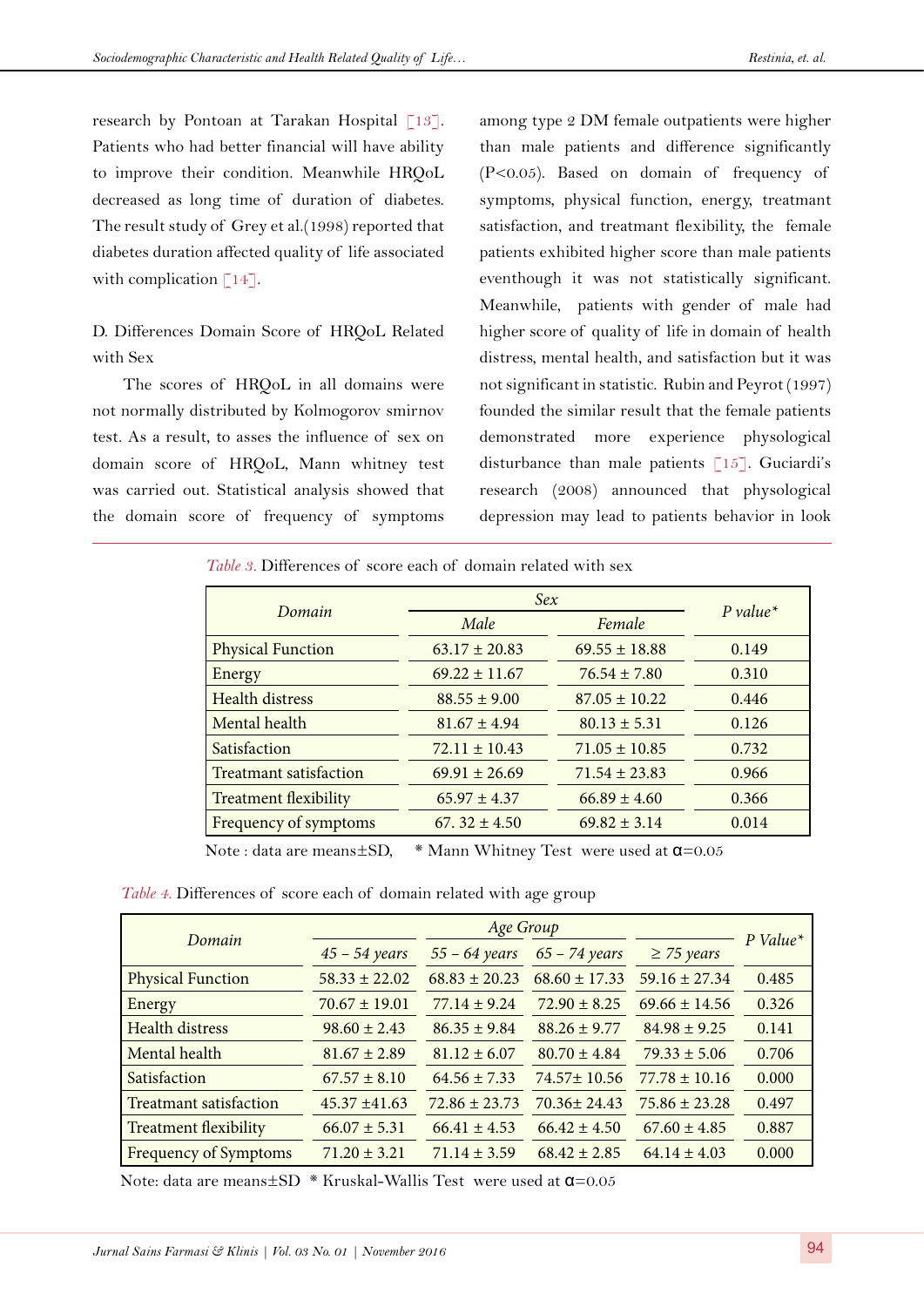research by Pontoan at Tarakan Hospital [\[13](#page-7-4)]. Patients who had better financial will have ability to improve their condition. Meanwhile HRQoL decreased as long time of duration of diabetes. The result study of Grey et al.(1998) reported that diabetes duration affected quality of life associated with complication  $[14]$  $[14]$  $[14]$ .

D. Differences Domain Score of HRQoL Related with Sex

The scores of HRQoL in all domains were not normally distributed by Kolmogorov smirnov test. As a result, to asses the influence of sex on domain score of HRQoL, Mann whitney test was carried out. Statistical analysis showed that the domain score of frequency of symptoms among type 2 DM female outpatients were higher than male patients and difference significantly (P<0.05). Based on domain of frequency of symptoms, physical function, energy, treatmant satisfaction, and treatmant flexibility, the female patients exhibited higher score than male patients eventhough it was not statistically significant. Meanwhile, patients with gender of male had higher score of quality of life in domain of health distress, mental health, and satisfaction but it was not significant in statistic. Rubin and Peyrot (1997) founded the similar result that the female patients demonstrated more experience physological disturbance than male patients [\[15](#page-7-6)]. Guciardi's research (2008) announced that physological depression may lead to patients behavior in look

|                              |                   | Sex               |            |  |
|------------------------------|-------------------|-------------------|------------|--|
| Domain                       | Male              | Female            | $P value*$ |  |
| <b>Physical Function</b>     | $63.17 \pm 20.83$ | $69.55 \pm 18.88$ | 0.149      |  |
| Energy                       | $69.22 \pm 11.67$ | $76.54 \pm 7.80$  | 0.310      |  |
| <b>Health distress</b>       | $88.55 \pm 9.00$  | $87.05 \pm 10.22$ | 0.446      |  |
| Mental health                | $81.67 \pm 4.94$  | $80.13 \pm 5.31$  | 0.126      |  |
| Satisfaction                 | $72.11 \pm 10.43$ | $71.05 \pm 10.85$ | 0.732      |  |
| Treatmant satisfaction       | $69.91 \pm 26.69$ | $71.54 \pm 23.83$ | 0.966      |  |
| <b>Treatment flexibility</b> | $65.97 \pm 4.37$  | $66.89 \pm 4.60$  | 0.366      |  |
| Frequency of symptoms        | 67.32 $\pm$ 4.50  | $69.82 \pm 3.14$  | 0.014      |  |

Note : data are means±SD, \* Mann Whitney Test were used at α=0.05

*Table 4.* Differences of score each of domain related with age group

|                               | Age Group         |                   |                   |                   |                        |
|-------------------------------|-------------------|-------------------|-------------------|-------------------|------------------------|
| Domain                        | $45 - 54$ years   | $55 - 64$ years   | $65 - 74$ years   | $\geq$ 75 years   | $P$ Value <sup>*</sup> |
| <b>Physical Function</b>      | $58.33 \pm 22.02$ | $68.83 \pm 20.23$ | $68.60 \pm 17.33$ | $59.16 \pm 27.34$ | 0.485                  |
| Energy                        | $70.67 \pm 19.01$ | $77.14 \pm 9.24$  | $72.90 \pm 8.25$  | $69.66 \pm 14.56$ | 0.326                  |
| <b>Health distress</b>        | $98.60 \pm 2.43$  | $86.35 \pm 9.84$  | $88.26 \pm 9.77$  | $84.98 \pm 9.25$  | 0.141                  |
| Mental health                 | $81.67 \pm 2.89$  | $81.12 \pm 6.07$  | $80.70 \pm 4.84$  | $79.33 \pm 5.06$  | 0.706                  |
| Satisfaction                  | $67.57 \pm 8.10$  | $64.56 \pm 7.33$  | $74.57 \pm 10.56$ | $77.78 \pm 10.16$ | 0.000                  |
| <b>Treatmant satisfaction</b> | $45.37 \pm 41.63$ | $72.86 \pm 23.73$ | $70.36 \pm 24.43$ | $75.86 \pm 23.28$ | 0.497                  |
| <b>Treatment flexibility</b>  | $66.07 \pm 5.31$  | $66.41 \pm 4.53$  | $66.42 \pm 4.50$  | $67.60 \pm 4.85$  | 0.887                  |
| <b>Frequency of Symptoms</b>  | $71.20 \pm 3.21$  | $71.14 \pm 3.59$  | $68.42 \pm 2.85$  | $64.14 \pm 4.03$  | 0.000                  |

Note: data are means $\pm$ SD \* Kruskal-Wallis Test were used at  $\alpha$ =0.05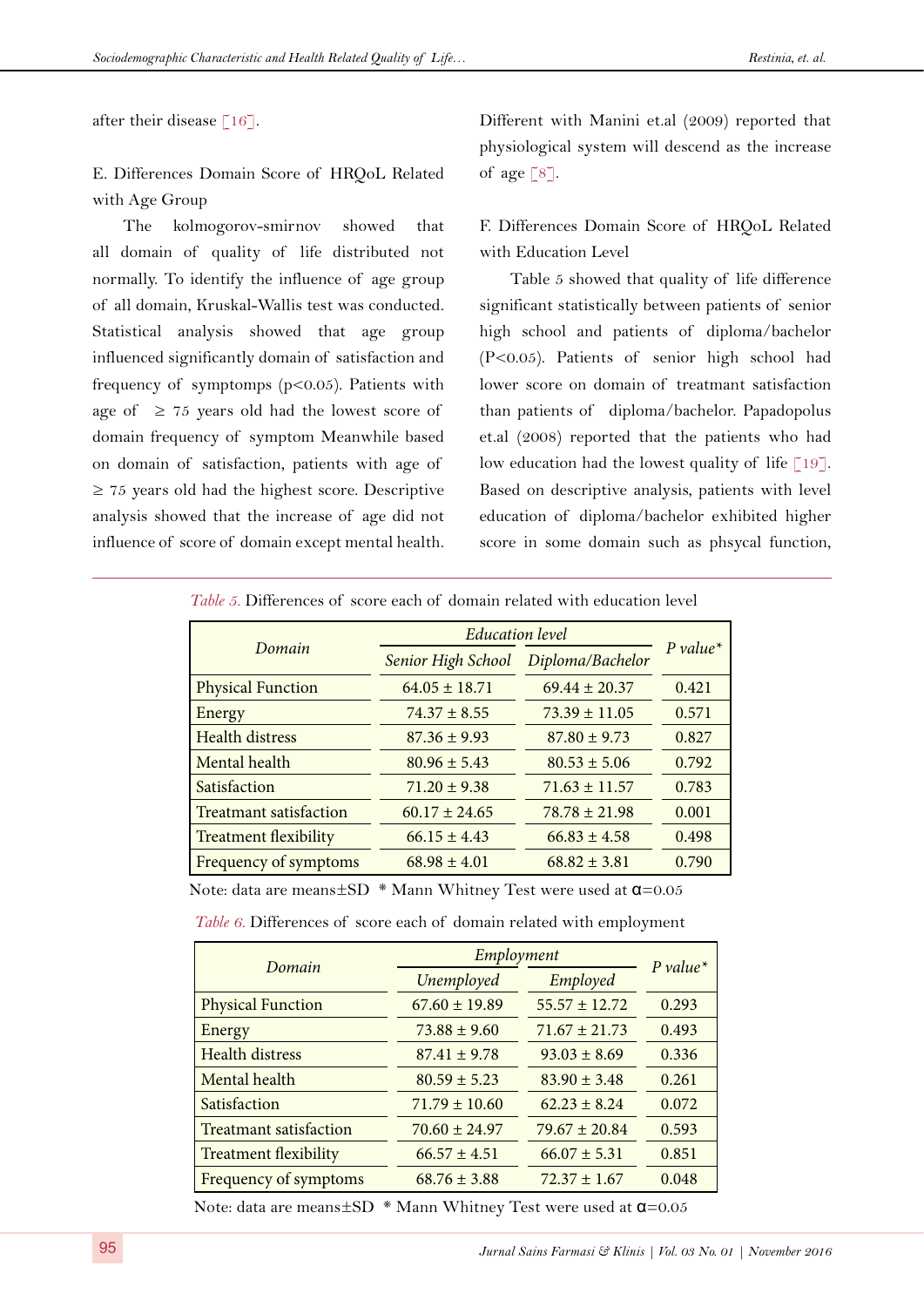after their disease  $\lceil 16 \rceil$ .

E. Differences Domain Score of HRQoL Related with Age Group

The kolmogorov-smirnov showed that all domain of quality of life distributed not normally. To identify the influence of age group of all domain, Kruskal-Wallis test was conducted. Statistical analysis showed that age group influenced significantly domain of satisfaction and frequency of symptomps (p<0.05). Patients with age of  $\geq 75$  years old had the lowest score of domain frequency of symptom Meanwhile based on domain of satisfaction, patients with age of  $\geq$  75 years old had the highest score. Descriptive analysis showed that the increase of age did not influence of score of domain except mental health.

Different with Manini et.al (2009) reported that physiological system will descend as the increase of age  $\lceil 8 \rceil$  $\lceil 8 \rceil$  $\lceil 8 \rceil$ .

F. Differences Domain Score of HRQoL Related with Education Level

Table 5 showed that quality of life difference significant statistically between patients of senior high school and patients of diploma/bachelor (P<0.05). Patients of senior high school had lower score on domain of treatmant satisfaction than patients of diploma/bachelor. Papadopolus et.al (2008) reported that the patients who had low education had the lowest quality of life  $\lceil 19 \rceil$ . Based on descriptive analysis, patients with level education of diploma/bachelor exhibited higher score in some domain such as phsycal function,

|                               | <b>Education</b> level |                   |            |  |
|-------------------------------|------------------------|-------------------|------------|--|
| Domain                        | Senior High School     | Diploma/Bachelor  | $P value*$ |  |
| <b>Physical Function</b>      | $64.05 \pm 18.71$      | $69.44 \pm 20.37$ | 0.421      |  |
| Energy                        | $74.37 \pm 8.55$       | $73.39 \pm 11.05$ | 0.571      |  |
| <b>Health distress</b>        | $87.36 \pm 9.93$       | $87.80 \pm 9.73$  | 0.827      |  |
| Mental health                 | $80.96 \pm 5.43$       | $80.53 \pm 5.06$  | 0.792      |  |
| Satisfaction                  | $71.20 \pm 9.38$       | $71.63 \pm 11.57$ | 0.783      |  |
| <b>Treatmant satisfaction</b> | $60.17 \pm 24.65$      | $78.78 \pm 21.98$ | 0.001      |  |
| <b>Treatment flexibility</b>  | $66.15 \pm 4.43$       | $66.83 \pm 4.58$  | 0.498      |  |
| Frequency of symptoms         | $68.98 \pm 4.01$       | $68.82 \pm 3.81$  | 0.790      |  |

*Table 5.* Differences of score each of domain related with education level

Note: data are means±SD \* Mann Whitney Test were used at α=0.05

| <i>Table 6.</i> Differences of score each of domain related with employment |  |  |
|-----------------------------------------------------------------------------|--|--|
|                                                                             |  |  |

| Domain                        | Employment        | $P value*$        |       |
|-------------------------------|-------------------|-------------------|-------|
|                               | Unemployed        | Employed          |       |
| <b>Physical Function</b>      | $67.60 \pm 19.89$ | $55.57 \pm 12.72$ | 0.293 |
| Energy                        | $73.88 \pm 9.60$  | $71.67 \pm 21.73$ | 0.493 |
| <b>Health distress</b>        | $87.41 \pm 9.78$  | $93.03 \pm 8.69$  | 0.336 |
| Mental health                 | $80.59 \pm 5.23$  | $83.90 \pm 3.48$  | 0.261 |
| Satisfaction                  | $71.79 \pm 10.60$ | $62.23 + 8.24$    | 0.072 |
| <b>Treatmant satisfaction</b> | $70.60 \pm 24.97$ | $79.67 \pm 20.84$ | 0.593 |
| <b>Treatment flexibility</b>  | $66.57 \pm 4.51$  | $66.07 \pm 5.31$  | 0.851 |
| Frequency of symptoms         | $68.76 \pm 3.88$  | $72.37 \pm 1.67$  | 0.048 |

Note: data are means±SD \* Mann Whitney Test were used at α=0.05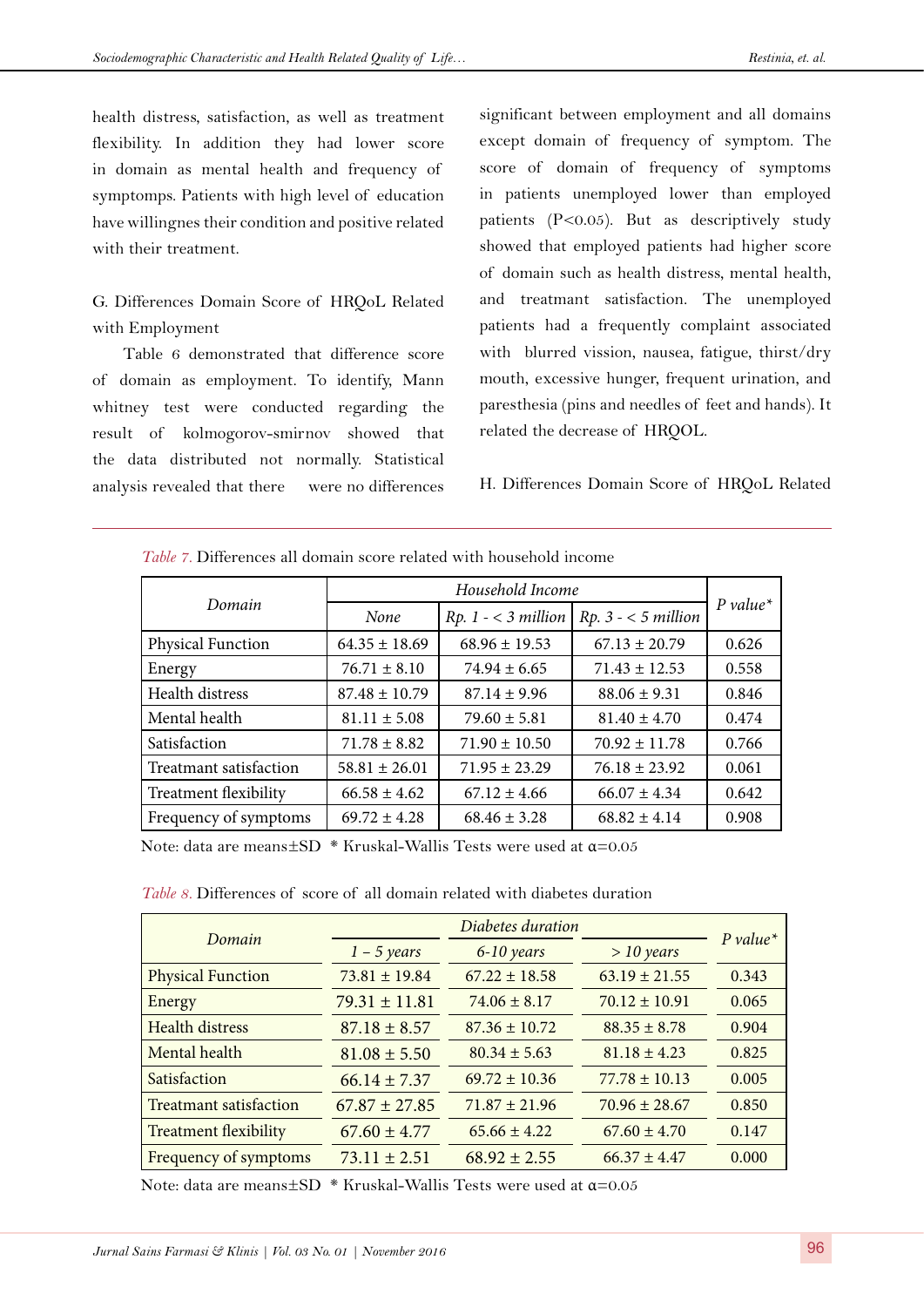health distress, satisfaction, as well as treatment flexibility. In addition they had lower score in domain as mental health and frequency of symptomps. Patients with high level of education have willingnes their condition and positive related with their treatment.

G. Differences Domain Score of HRQoL Related with Employment

Table 6 demonstrated that difference score of domain as employment. To identify, Mann whitney test were conducted regarding the result of kolmogorov-smirnov showed that the data distributed not normally. Statistical analysis revealed that there were no differences significant between employment and all domains except domain of frequency of symptom. The score of domain of frequency of symptoms in patients unemployed lower than employed patients (P<0.05). But as descriptively study showed that employed patients had higher score of domain such as health distress, mental health, and treatmant satisfaction. The unemployed patients had a frequently complaint associated with blurred vission, nausea, fatigue, thirst/dry mouth, excessive hunger, frequent urination, and paresthesia (pins and needles of feet and hands). It related the decrease of HRQOL.

H. Differences Domain Score of HRQoL Related

|                          | Household Income  |                       |                       |            |
|--------------------------|-------------------|-----------------------|-----------------------|------------|
| Domain                   | None              | $Rp. 1 - < 3 million$ | $Rp. 3 - < 5$ million | $P value*$ |
| <b>Physical Function</b> | $64.35 \pm 18.69$ | $68.96 \pm 19.53$     | $67.13 \pm 20.79$     | 0.626      |
| Energy                   | $76.71 \pm 8.10$  | $74.94 \pm 6.65$      | $71.43 \pm 12.53$     | 0.558      |
| Health distress          | $87.48 \pm 10.79$ | $87.14 \pm 9.96$      | $88.06 \pm 9.31$      | 0.846      |
| Mental health            | $81.11 \pm 5.08$  | $79.60 \pm 5.81$      | $81.40 \pm 4.70$      | 0.474      |
| Satisfaction             | $71.78 \pm 8.82$  | $71.90 \pm 10.50$     | $70.92 \pm 11.78$     | 0.766      |
| Treatmant satisfaction   | $58.81 \pm 26.01$ | $71.95 \pm 23.29$     | $76.18 \pm 23.92$     | 0.061      |
| Treatment flexibility    | $66.58 \pm 4.62$  | $67.12 \pm 4.66$      | $66.07 \pm 4.34$      | 0.642      |
| Frequency of symptoms    | $69.72 \pm 4.28$  | $68.46 \pm 3.28$      | $68.82 \pm 4.14$      | 0.908      |

*Table 7.* Differences all domain score related with household income

Note: data are means $\pm$ SD \* Kruskal-Wallis Tests were used at  $\alpha$ =0.05

*Table 8.* Differences of score of all domain related with diabetes duration

| Domain                       | Diabetes duration |                   |                   |            |
|------------------------------|-------------------|-------------------|-------------------|------------|
|                              | $1 - 5$ years     | 6-10 years        | $>$ 10 years      | $P value*$ |
| <b>Physical Function</b>     | $73.81 \pm 19.84$ | $67.22 \pm 18.58$ | $63.19 \pm 21.55$ | 0.343      |
| Energy                       | $79.31 \pm 11.81$ | $74.06 \pm 8.17$  | $70.12 \pm 10.91$ | 0.065      |
| <b>Health distress</b>       | $87.18 \pm 8.57$  | $87.36 \pm 10.72$ | $88.35 \pm 8.78$  | 0.904      |
| Mental health                | $81.08 \pm 5.50$  | $80.34 \pm 5.63$  | $81.18 \pm 4.23$  | 0.825      |
| Satisfaction                 | $66.14 \pm 7.37$  | $69.72 \pm 10.36$ | $77.78 \pm 10.13$ | 0.005      |
| Treatmant satisfaction       | $67.87 \pm 27.85$ | $71.87 \pm 21.96$ | $70.96 \pm 28.67$ | 0.850      |
| <b>Treatment flexibility</b> | $67.60 \pm 4.77$  | $65.66 \pm 4.22$  | $67.60 \pm 4.70$  | 0.147      |
| Frequency of symptoms        | $73.11 \pm 2.51$  | $68.92 \pm 2.55$  | $66.37 \pm 4.47$  | 0.000      |

Note: data are means $\pm$ SD \* Kruskal-Wallis Tests were used at  $\alpha$ =0.05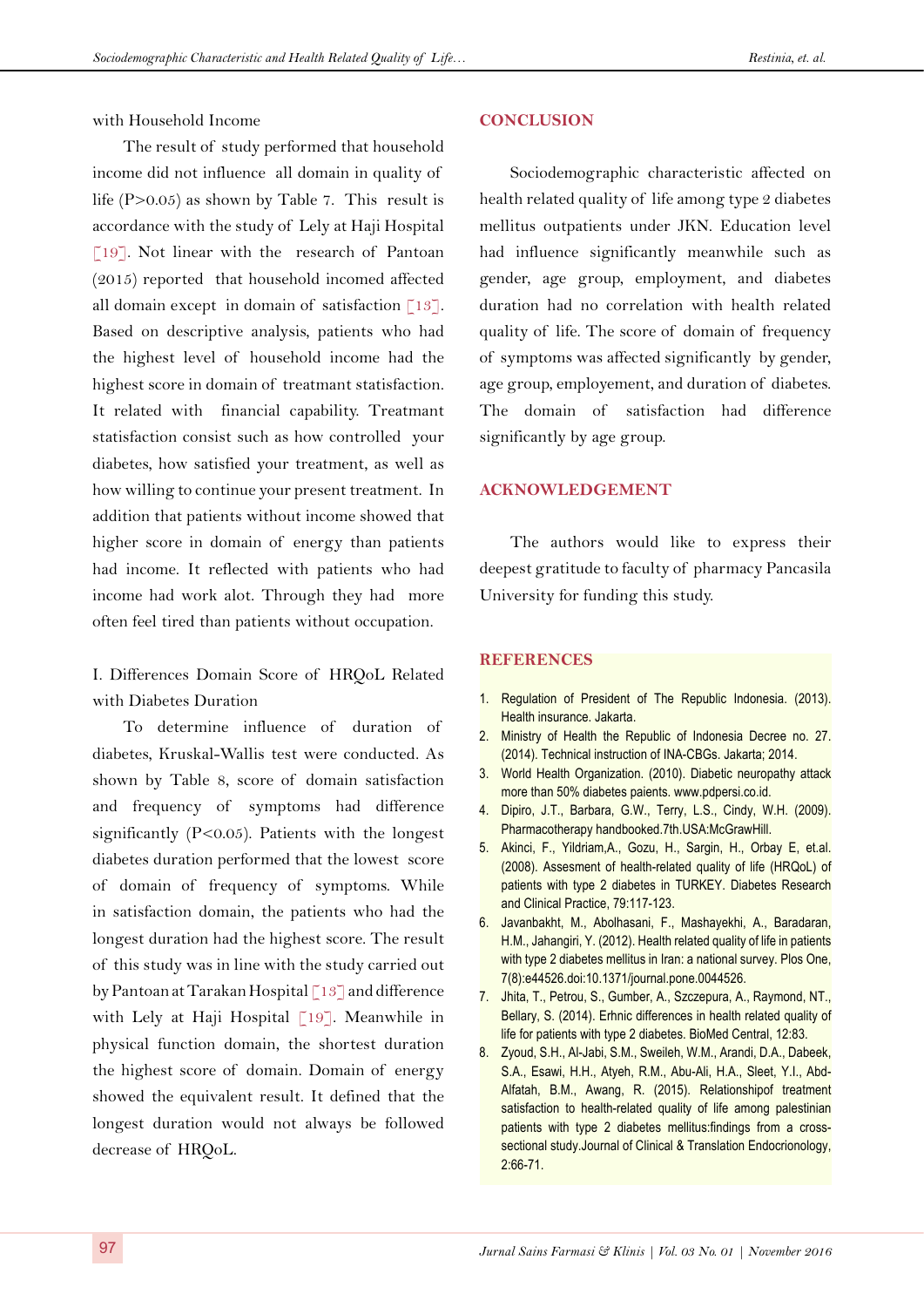with Household Income

The result of study performed that household income did not influence all domain in quality of life (P>0.05) as shown by Table 7. This result is accordance with the study of Lely at Haji Hospital [\[19](#page-7-8)]. Not linear with the research of Pantoan (2015) reported that household incomed affected all domain except in domain of satisfaction  $\lceil 13 \rceil$ . Based on descriptive analysis, patients who had the highest level of household income had the highest score in domain of treatmant statisfaction. It related with financial capability. Treatmant statisfaction consist such as how controlled your diabetes, how satisfied your treatment, as well as how willing to continue your present treatment. In addition that patients without income showed that higher score in domain of energy than patients had income. It reflected with patients who had income had work alot. Through they had more often feel tired than patients without occupation.

I. Differences Domain Score of HRQoL Related with Diabetes Duration

To determine influence of duration of diabetes, Kruskal-Wallis test were conducted. As shown by Table 8, score of domain satisfaction and frequency of symptoms had difference significantly (P<0.05). Patients with the longest diabetes duration performed that the lowest score of domain of frequency of symptoms. While in satisfaction domain, the patients who had the longest duration had the highest score. The result of this study was in line with the study carried out by Pantoan at Tarakan Hospital [\[13](#page-7-4)] and difference with Lely at Haji Hospital [[19\]](#page-7-8). Meanwhile in physical function domain, the shortest duration the highest score of domain. Domain of energy showed the equivalent result. It defined that the longest duration would not always be followed decrease of HRQoL.

#### **CONCLUSION**

Sociodemographic characteristic affected on health related quality of life among type 2 diabetes mellitus outpatients under JKN. Education level had influence significantly meanwhile such as gender, age group, employment, and diabetes duration had no correlation with health related quality of life. The score of domain of frequency of symptoms was affected significantly by gender, age group, employement, and duration of diabetes. The domain of satisfaction had difference significantly by age group.

#### **ACKNOWLEDGEMENT**

The authors would like to express their deepest gratitude to faculty of pharmacy Pancasila University for funding this study.

## **REFERENCES**

- <span id="page-6-0"></span>1. Regulation of President of The Republic Indonesia. (2013). Health insurance. Jakarta.
- <span id="page-6-1"></span>2. Ministry of Health the Republic of Indonesia Decree no. 27. (2014). Technical instruction of INA-CBGs. Jakarta; 2014.
- <span id="page-6-2"></span>3. World Health Organization. (2010). Diabetic neuropathy attack more than 50% diabetes paients. www.pdpersi.co.id.
- <span id="page-6-3"></span>4. Dipiro, J.T., Barbara, G.W., Terry, L.S., Cindy, W.H. (2009). Pharmacotherapy handbooked.7th.USA:McGrawHill.
- <span id="page-6-4"></span>5. Akinci, F., Yildriam, A., Gozu, H., Sargin, H., Orbay E, et.al. (2008). Assesment of health-related quality of life (HRQoL) of patients with type 2 diabetes in TURKEY. Diabetes Research and Clinical Practice, 79:117-123.
- <span id="page-6-5"></span>6. Javanbakht, M., Abolhasani, F., Mashayekhi, A., Baradaran, H.M., Jahangiri, Y. (2012). Health related quality of life in patients with type 2 diabetes mellitus in Iran: a national survey. Plos One, 7(8):e44526.doi:10.1371/journal.pone.0044526.
- <span id="page-6-6"></span>7. Jhita, T., Petrou, S., Gumber, A., Szczepura, A., Raymond, NT., Bellary, S. (2014). Erhnic differences in health related quality of life for patients with type 2 diabetes. BioMed Central, 12:83.
- <span id="page-6-7"></span>8. Zyoud, S.H., Al-Jabi, S.M., Sweileh, W.M., Arandi, D.A., Dabeek, S.A., Esawi, H.H., Atyeh, R.M., Abu-Ali, H.A., Sleet, Y.I., Abd-Alfatah, B.M., Awang, R. (2015). Relationshipof treatment satisfaction to health-related quality of life among palestinian patients with type 2 diabetes mellitus:findings from a crosssectional study.Journal of Clinical & Translation Endocrionology, 2:66-71.